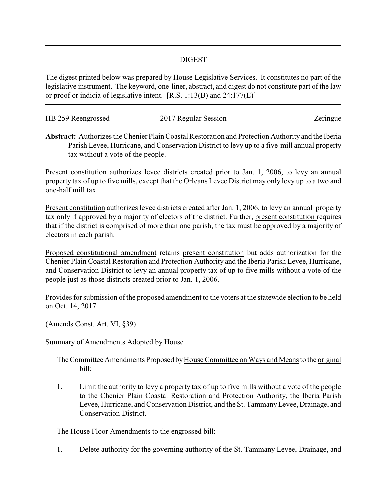## DIGEST

The digest printed below was prepared by House Legislative Services. It constitutes no part of the legislative instrument. The keyword, one-liner, abstract, and digest do not constitute part of the law or proof or indicia of legislative intent. [R.S. 1:13(B) and 24:177(E)]

| HB 259 Reengrossed | 2017 Regular Session | Zeringue |
|--------------------|----------------------|----------|
|                    |                      |          |

**Abstract:** Authorizes the Chenier Plain Coastal Restoration and Protection Authority and the Iberia Parish Levee, Hurricane, and Conservation District to levy up to a five-mill annual property tax without a vote of the people.

Present constitution authorizes levee districts created prior to Jan. 1, 2006, to levy an annual property tax of up to five mills, except that the Orleans Levee District may only levy up to a two and one-half mill tax.

Present constitution authorizes levee districts created after Jan. 1, 2006, to levy an annual property tax only if approved by a majority of electors of the district. Further, present constitution requires that if the district is comprised of more than one parish, the tax must be approved by a majority of electors in each parish.

Proposed constitutional amendment retains present constitution but adds authorization for the Chenier Plain Coastal Restoration and Protection Authority and the Iberia Parish Levee, Hurricane, and Conservation District to levy an annual property tax of up to five mills without a vote of the people just as those districts created prior to Jan. 1, 2006.

Provides for submission of the proposed amendment to the voters at the statewide election to be held on Oct. 14, 2017.

(Amends Const. Art. VI, §39)

## Summary of Amendments Adopted by House

The Committee Amendments Proposed by House Committee on Ways and Means to the original bill:

1. Limit the authority to levy a property tax of up to five mills without a vote of the people to the Chenier Plain Coastal Restoration and Protection Authority, the Iberia Parish Levee, Hurricane, and Conservation District, and the St. TammanyLevee, Drainage, and Conservation District.

## The House Floor Amendments to the engrossed bill:

1. Delete authority for the governing authority of the St. Tammany Levee, Drainage, and